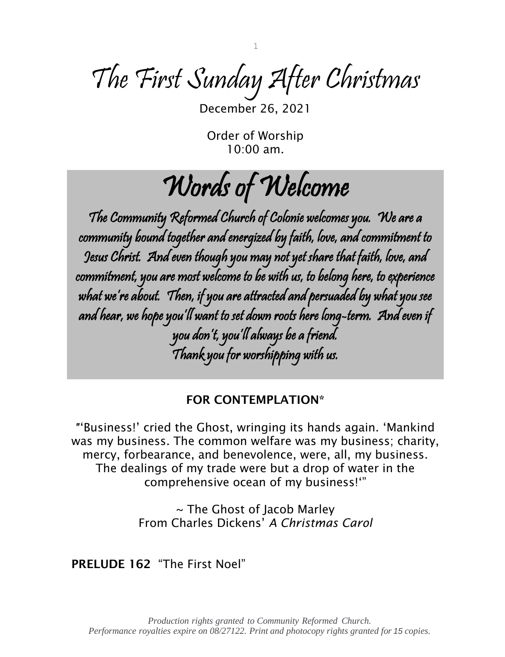The First Sunday After Christmas

1

December 26, 2021

Order of Worship 10:00 am.

# Words of Welcome

The Community Reformed Church of Colonie welcomes you. We are a community bound together and energized by faith, love, and commitment to Jesus Christ. And even though you may not yet share that faith, love, and commitment, you are most welcome to be with us, to belong here, to experience what we're about. Then, if you are attracted and persuaded by what you see and hear, we hope you'll want to set down roots here long-term. And even if you don't, you'll always be a friend. Thank you for worshipping with us.

# FOR CONTEMPLATION\*

″'Business!' cried the Ghost, wringing its hands again. 'Mankind was my business. The common welfare was my business; charity, mercy, forbearance, and benevolence, were, all, my business. The dealings of my trade were but a drop of water in the comprehensive ocean of my business!'"

> ~ The Ghost of Jacob Marley From Charles Dickens' *A Christmas Carol*

PRELUDE 162 "The First Noel"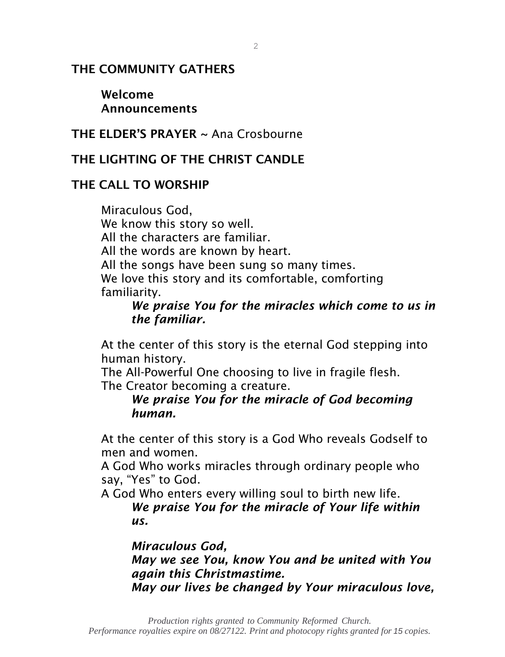#### THE COMMUNITY GATHERS

Welcome Announcements

# THE ELDER'S PRAYER  $\sim$  Ana Crosbourne

#### THE LIGHTING OF THE CHRIST CANDLE

#### THE CALL TO WORSHIP

Miraculous God, We know this story so well. All the characters are familiar. All the words are known by heart. All the songs have been sung so many times. We love this story and its comfortable, comforting familiarity.

#### *We praise You for the miracles which come to us in the familiar.*

At the center of this story is the eternal God stepping into human history.

The All-Powerful One choosing to live in fragile flesh. The Creator becoming a creature.

#### *We praise You for the miracle of God becoming human.*

At the center of this story is a God Who reveals Godself to men and women.

A God Who works miracles through ordinary people who say, "Yes" to God.

A God Who enters every willing soul to birth new life.

*We praise You for the miracle of Your life within us.*

# *Miraculous God,*

*May we see You, know You and be united with You again this Christmastime.*

*May our lives be changed by Your miraculous love,*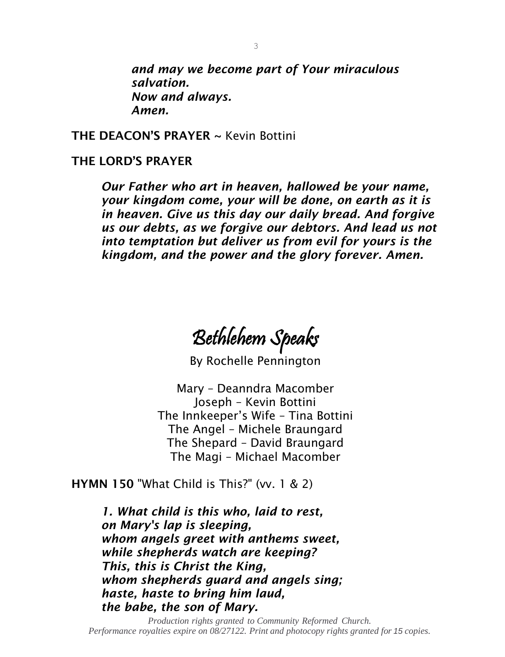*and may we become part of Your miraculous salvation. Now and always. Amen.*

THE DEACON'S PRAYER ~ Kevin Bottini

#### THE LORD'S PRAYER

*Our Father who art in heaven, hallowed be your name, your kingdom come, your will be done, on earth as it is in heaven. Give us this day our daily bread. And forgive us our debts, as we forgive our debtors. And lead us not into temptation but deliver us from evil for yours is the kingdom, and the power and the glory forever. Amen.*

Bethlehem Speaks

By Rochelle Pennington

Mary – Deanndra Macomber Joseph – Kevin Bottini The Innkeeper's Wife – Tina Bottini The Angel – Michele Braungard The Shepard – David Braungard The Magi – Michael Macomber

HYMN 150 "What Child is This?" (vv. 1 & 2)

*1. What child is this who, laid to rest, on Mary's lap is sleeping, whom angels greet with anthems sweet, while shepherds watch are keeping? This, this is Christ the King, whom shepherds guard and angels sing; haste, haste to bring him laud, the babe, the son of Mary.* 

*Production rights granted to Community Reformed Church. Performance royalties expire on 08/27122. Print and photocopy rights granted for 15 copies.*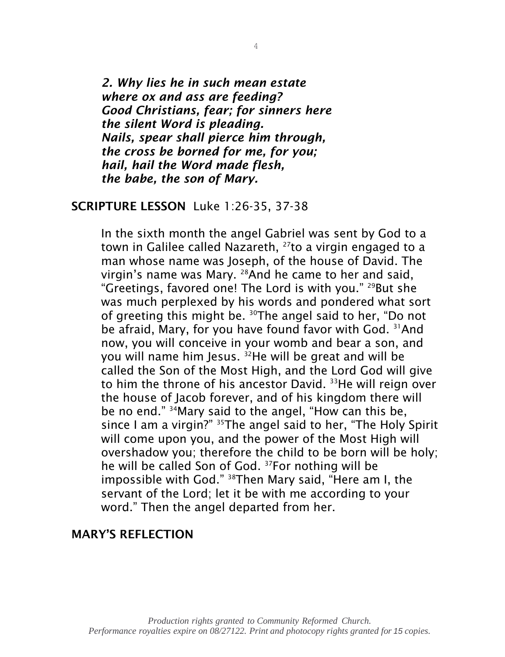*2. Why lies he in such mean estate where ox and ass are feeding? Good Christians, fear; for sinners here the silent Word is pleading. Nails, spear shall pierce him through, the cross be borned for me, for you; hail, hail the Word made flesh, the babe, the son of Mary.*

#### SCRIPTURE LESSON Luke 1:26-35, 37-38

In the sixth month the angel Gabriel was sent by God to a town in Galilee called Nazareth,  $27$ to a virgin engaged to a man whose name was Joseph, of the house of David. The virgin's name was Mary.  $28$ And he came to her and said, "Greetings, favored one! The Lord is with you." <sup>29</sup>But she was much perplexed by his words and pondered what sort of greeting this might be. <sup>30</sup>The angel said to her, "Do not be afraid, Mary, for you have found favor with God. <sup>31</sup>And now, you will conceive in your womb and bear a son, and you will name him Jesus. <sup>32</sup>He will be great and will be called the Son of the Most High, and the Lord God will give to him the throne of his ancestor David.<sup>33</sup>He will reign over the house of Jacob forever, and of his kingdom there will be no end." <sup>34</sup>Mary said to the angel, "How can this be, since I am a virgin?" <sup>35</sup>The angel said to her, "The Holy Spirit will come upon you, and the power of the Most High will overshadow you; therefore the child to be born will be holy; he will be called Son of God. <sup>37</sup>For nothing will be impossible with God." <sup>38</sup>Then Mary said, "Here am I, the servant of the Lord; let it be with me according to your word." Then the angel departed from her.

#### MARY'S REFLECTION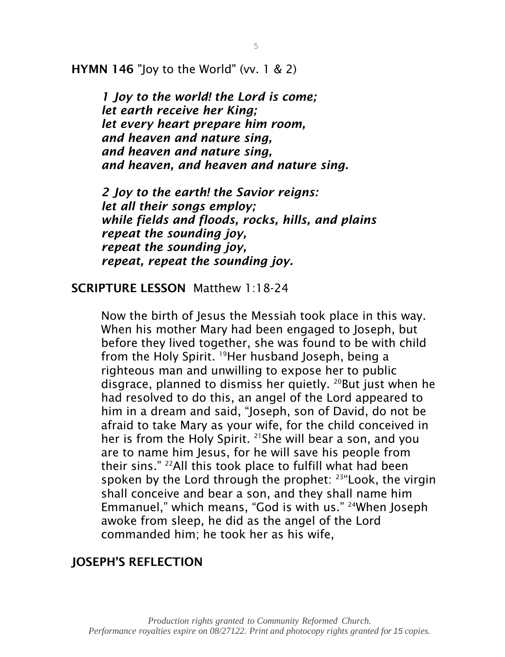HYMN 146 "Joy to the World" (vv. 1 & 2)

*1 Joy to the world! the Lord is come; let earth receive her King; let every heart prepare him room, and heaven and nature sing, and heaven and nature sing, and heaven, and heaven and nature sing.* 

*2 Joy to the earth! the Savior reigns: let all their songs employ; while fields and floods, rocks, hills, and plains repeat the sounding joy, repeat the sounding joy, repeat, repeat the sounding joy.* 

#### SCRIPTURE LESSON Matthew 1:18-24

Now the birth of Jesus the Messiah took place in this way. When his mother Mary had been engaged to Joseph, but before they lived together, she was found to be with child from the Holy Spirit. <sup>19</sup>Her husband Joseph, being a righteous man and unwilling to expose her to public disgrace, planned to dismiss her quietly. <sup>20</sup>But just when he had resolved to do this, an angel of the Lord appeared to him in a dream and said, "Joseph, son of David, do not be afraid to take Mary as your wife, for the child conceived in her is from the Holy Spirit. <sup>21</sup>She will bear a son, and you are to name him Jesus, for he will save his people from their sins." <sup>22</sup>All this took place to fulfill what had been spoken by the Lord through the prophet: <sup>23</sup> Look, the virgin shall conceive and bear a son, and they shall name him Emmanuel," which means, "God is with us." <sup>24</sup>When Joseph awoke from sleep, he did as the angel of the Lord commanded him; he took her as his wife,

#### JOSEPH'S REFLECTION

5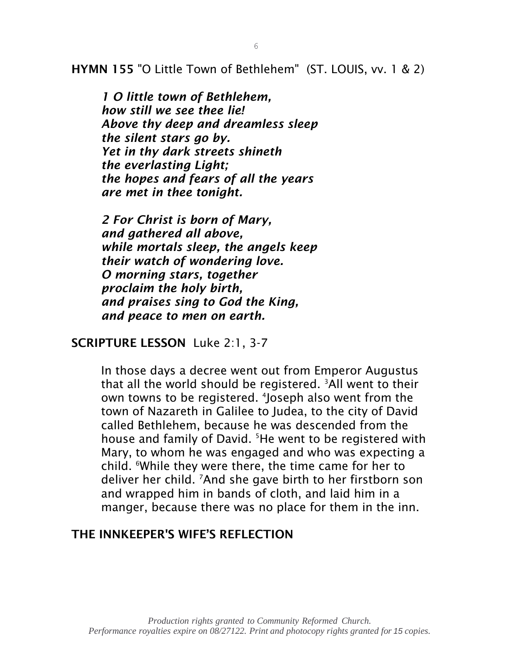HYMN 155 "O Little Town of Bethlehem" (ST. LOUIS, vv. 1 & 2)

*1 O little town of Bethlehem, how still we see thee lie! Above thy deep and dreamless sleep the silent stars go by. Yet in thy dark streets shineth the everlasting Light; the hopes and fears of all the years are met in thee tonight.*

*2 For Christ is born of Mary, and gathered all above, while mortals sleep, the angels keep their watch of wondering love. O morning stars, together proclaim the holy birth, and praises sing to God the King, and peace to men on earth.*

#### SCRIPTURE LESSON Luke 2:1, 3-7

In those days a decree went out from Emperor Augustus that all the world should be registered.  $3$ All went to their own towns to be registered. <sup>4</sup> Joseph also went from the town of Nazareth in Galilee to Judea, to the city of David called Bethlehem, because he was descended from the house and family of David.<sup>5</sup> He went to be registered with Mary, to whom he was engaged and who was expecting a child. <sup>6</sup>While they were there, the time came for her to deliver her child. <sup>7</sup>And she gave birth to her firstborn son and wrapped him in bands of cloth, and laid him in a manger, because there was no place for them in the inn.

#### THE INNKEEPER'S WIFE'S REFLECTION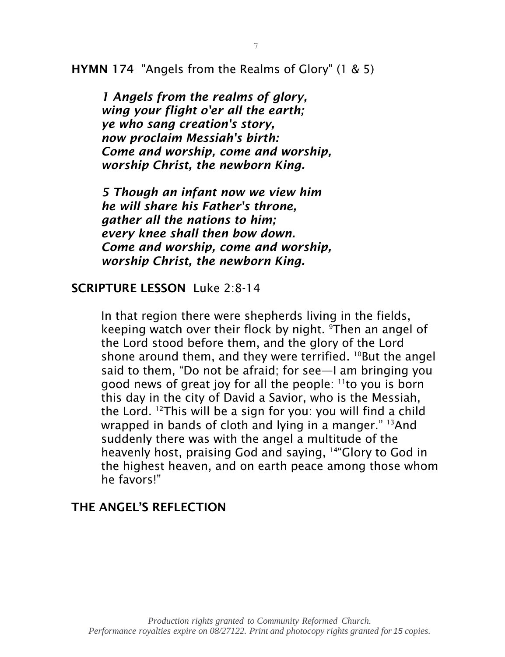HYMN 174"Angels from the Realms of Glory" (1 & 5)

*1 Angels from the realms of glory, wing your flight o'er all the earth; ye who sang creation's story, now proclaim Messiah's birth: Come and worship, come and worship, worship Christ, the newborn King.* 

*5 Though an infant now we view him he will share his Father's throne, gather all the nations to him; every knee shall then bow down. Come and worship, come and worship, worship Christ, the newborn King.* 

#### SCRIPTURE LESSON Luke 2:8-14

In that region there were shepherds living in the fields, keeping watch over their flock by night. <sup>9</sup>Then an angel of the Lord stood before them, and the glory of the Lord shone around them, and they were terrified.  $^{10}$ But the angel said to them, "Do not be afraid; for see—I am bringing you good news of great joy for all the people: <sup>11</sup>to you is born this day in the city of David a Savior, who is the Messiah, the Lord. <sup>12</sup>This will be a sign for you: you will find a child wrapped in bands of cloth and lying in a manger." <sup>13</sup>And suddenly there was with the angel a multitude of the heavenly host, praising God and saying, <sup>14"</sup>Glory to God in the highest heaven, and on earth peace among those whom he favors!"

# THE ANGEL'S REFLECTION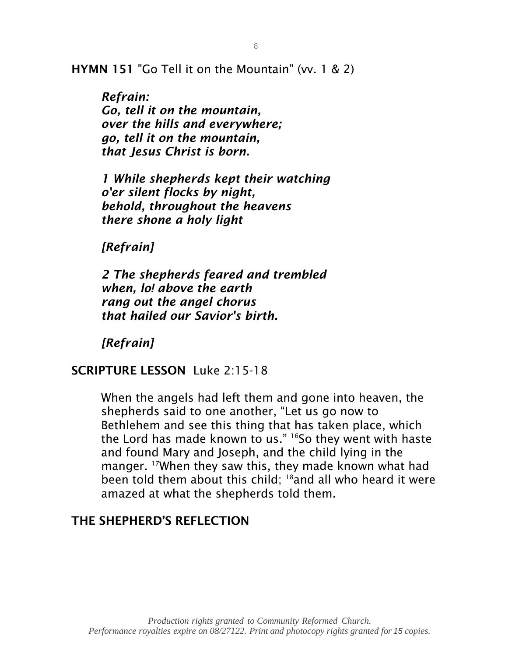HYMN 151 "Go Tell it on the Mountain" (vv. 1 & 2)

*Refrain: Go, tell it on the mountain, over the hills and everywhere; go, tell it on the mountain, that Jesus Christ is born.* 

*1 While shepherds kept their watching o'er silent flocks by night, behold, throughout the heavens there shone a holy light*

*[Refrain]*

*2 The shepherds feared and trembled when, lo! above the earth rang out the angel chorus that hailed our Savior's birth.* 

*[Refrain]*

# SCRIPTURE LESSON Luke 2:15-18

When the angels had left them and gone into heaven, the shepherds said to one another, "Let us go now to Bethlehem and see this thing that has taken place, which the Lord has made known to us."  $16$ So they went with haste and found Mary and Joseph, and the child lying in the manger. <sup>17</sup>When they saw this, they made known what had been told them about this child; <sup>18</sup> and all who heard it were amazed at what the shepherds told them.

# THE SHEPHERD'S REFLECTION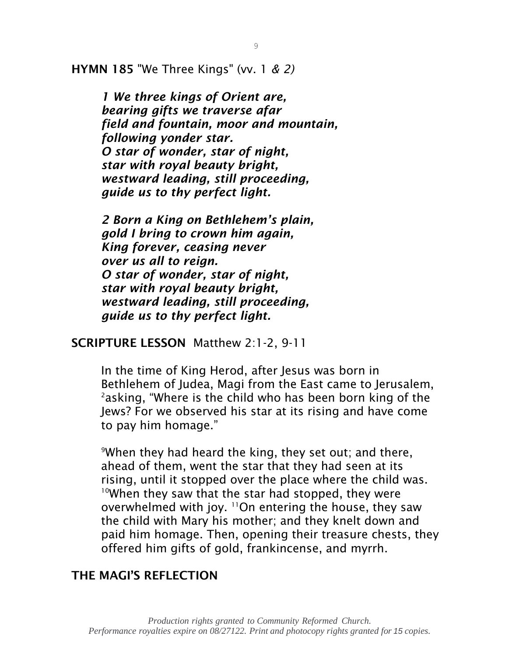HYMN 185 "We Three Kings" (vv. 1 *& 2)*

*1 We three kings of Orient are, bearing gifts we traverse afar field and fountain, moor and mountain, following yonder star. O star of wonder, star of night, star with royal beauty bright, westward leading, still proceeding, guide us to thy perfect light.*

*2 Born a King on Bethlehem's plain, gold I bring to crown him again, King forever, ceasing never over us all to reign. O star of wonder, star of night, star with royal beauty bright, westward leading, still proceeding, guide us to thy perfect light.*

SCRIPTURE LESSON Matthew 2:1-2, 9-11

In the time of King Herod, after Jesus was born in Bethlehem of Judea, Magi from the East came to Jerusalem, <sup>2</sup>asking, "Where is the child who has been born king of the Jews? For we observed his star at its rising and have come to pay him homage."

<sup>9</sup>When they had heard the king, they set out; and there, ahead of them, went the star that they had seen at its rising, until it stopped over the place where the child was.  $10$ When they saw that the star had stopped, they were overwhelmed with joy. <sup>11</sup>On entering the house, they saw the child with Mary his mother; and they knelt down and paid him homage. Then, opening their treasure chests, they offered him gifts of gold, frankincense, and myrrh.

# THE MAGI'S REFLECTION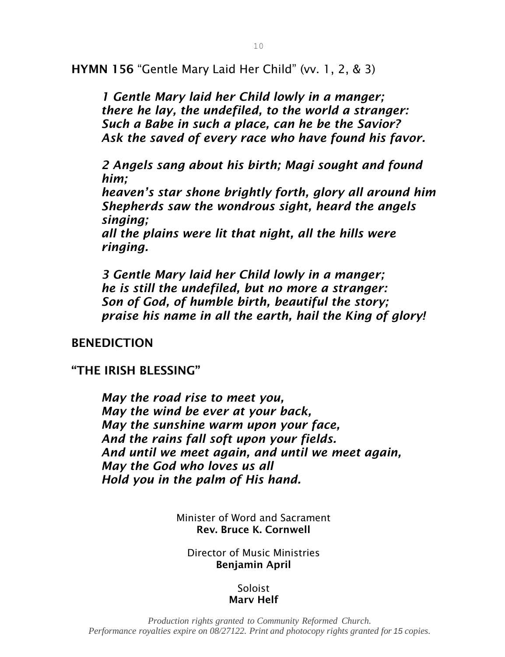HYMN 156 "Gentle Mary Laid Her Child" (vv. 1, 2, & 3)

*1 Gentle Mary laid her Child lowly in a manger; there he lay, the undefiled, to the world a stranger: Such a Babe in such a place, can he be the Savior? Ask the saved of every race who have found his favor.*

*2 Angels sang about his birth; Magi sought and found him;*

*heaven's star shone brightly forth, glory all around him Shepherds saw the wondrous sight, heard the angels singing;*

*all the plains were lit that night, all the hills were ringing.*

*3 Gentle Mary laid her Child lowly in a manger; he is still the undefiled, but no more a stranger: Son of God, of humble birth, beautiful the story; praise his name in all the earth, hail the King of glory!*

#### BENEDICTION

#### "THE IRISH BLESSING"

*May the road rise to meet you, May the wind be ever at your back, May the sunshine warm upon your face, And the rains fall soft upon your fields. And until we meet again, and until we meet again, May the God who loves us all Hold you in the palm of His hand.*

> Minister of Word and Sacrament Rev. Bruce K. Cornwell

Director of Music Ministries Benjamin April

#### Soloist Marv Helf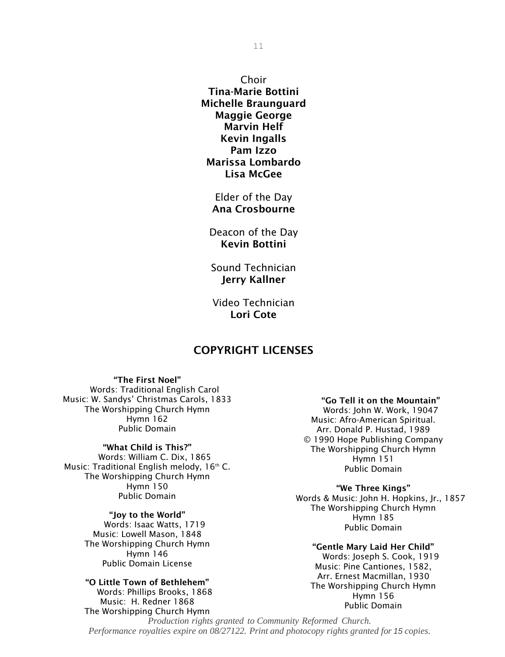Choir Tina-Marie Bottini Michelle Braunguard Maggie George Marvin Helf Kevin Ingalls Pam Izzo Marissa Lombardo Lisa McGee

> Elder of the Day Ana Crosbourne

Deacon of the Day Kevin Bottini

Sound Technician Jerry Kallner

Video Technician Lori Cote

#### COPYRIGHT LICENSES

"The First Noel" Words: Traditional English Carol Music: W. Sandys' Christmas Carols, 1833 The Worshipping Church Hymn Hymn 162 Public Domain

"What Child is This?" Words: William C. Dix, 1865 Music: Traditional English melody,  $16<sup>th</sup>$  C. The Worshipping Church Hymn Hymn 150 Public Domain

> "Joy to the World" Words: Isaac Watts, 1719 Music: Lowell Mason, 1848 The Worshipping Church Hymn Hymn 146 Public Domain License

"O Little Town of Bethlehem" Words: Phillips Brooks, 1868 Music: H. Redner 1868 The Worshipping Church Hymn

"Go Tell it on the Mountain" Words: John W. Work, 19047 Music: Afro-American Spiritual. Arr. Donald P. Hustad, 1989 © 1990 Hope Publishing Company The Worshipping Church Hymn Hymn 151 Public Domain

"We Three Kings" Words & Music: John H. Hopkins, Jr., 1857 The Worshipping Church Hymn Hymn 185 Public Domain

"Gentle Mary Laid Her Child" Words: Joseph S. Cook, 1919 Music: Pine Cantiones, 1582, Arr. Ernest Macmillan, 1930 The Worshipping Church Hymn Hymn 156 Public Domain

*Production rights granted to Community Reformed Church. Performance royalties expire on 08/27122. Print and photocopy rights granted for 15 copies.*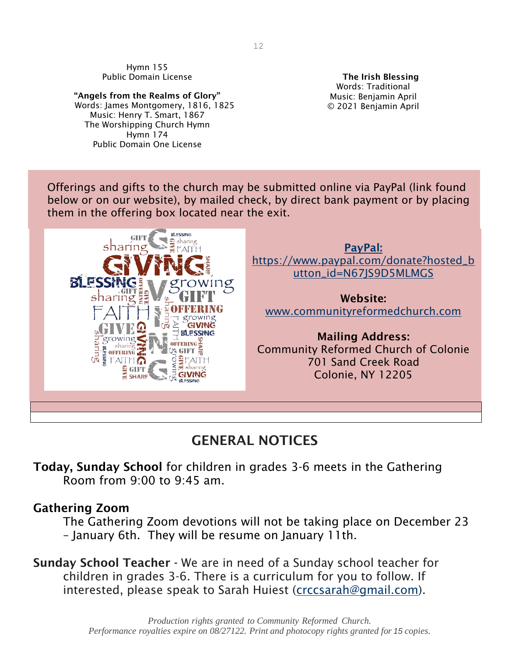Hymn 155 Public Domain License

"Angels from the Realms of Glory" Words: James Montgomery, 1816, 1825 Music: Henry T. Smart, 1867 The Worshipping Church Hymn Hymn 174 Public Domain One License

The Irish Blessing Words: Traditional Music: Benjamin April © 2021 Benjamin April

Offerings and gifts to the church may be submitted online via PayPal (link found below or on our website), by mailed check, by direct bank payment or by placing them in the offering box located near the exit.

> PayPal: [https://www.paypal.com/donate?hosted\\_b](https://www.paypal.com/donate?hosted_button_id=N67JS9D5MLMGS) [utton\\_id=N67JS9D5MLMGS](https://www.paypal.com/donate?hosted_button_id=N67JS9D5MLMGS)

Website: [www.communityreformedchurch.com](http://www.communityreformedchurch.com/)

Mailing Address: Community Reformed Church of Colonie 701 Sand Creek Road Colonie, NY 12205

# GENERAL NOTICES

Today, Sunday School for children in grades 3-6 meets in the Gathering Room from 9:00 to 9:45 am.

# Gathering Zoom

The Gathering Zoom devotions will not be taking place on December 23 – January 6th. They will be resume on January 11th.

Sunday School Teacher - We are in need of a Sunday school teacher for children in grades 3-6. There is a curriculum for you to follow. If interested, please speak to Sarah Huiest [\(crccsarah@gmail.com\)](mailto:crccsarah@gmail.com).

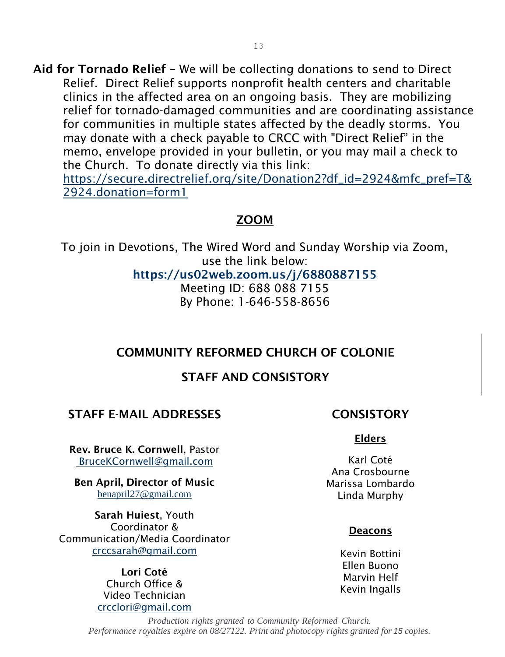Aid for Tornado Relief – We will be collecting donations to send to Direct Relief. Direct Relief supports nonprofit health centers and charitable clinics in the affected area on an ongoing basis. They are mobilizing relief for tornado-damaged communities and are coordinating assistance for communities in multiple states affected by the deadly storms. You may donate with a check payable to CRCC with "Direct Relief" in the memo, envelope provided in your bulletin, or you may mail a check to the Church. To donate directly via this link: [https://secure.directrelief.org/site/Donation2?df\\_id=2924&mfc\\_pref=T&](https://secure.directrelief.org/site/Donation2?df_id=2924&mfc_pref=T&2924.donation=form1)

[2924.donation=form1](https://secure.directrelief.org/site/Donation2?df_id=2924&mfc_pref=T&2924.donation=form1)

#### ZOOM

To join in Devotions, The Wired Word and Sunday Worship via Zoom, use the link below:

<https://us02web.zoom.us/j/6880887155>

Meeting ID: 688 088 7155 By Phone: 1-646-558-8656

# COMMUNITY REFORMED CHURCH OF COLONIE

# STAFF AND CONSISTORY

# STAFF E-MAIL ADDRESSES CONSISTORY

Rev. Bruce K. Cornwell, Pastor [BruceKCornwell@gmail.com](mailto:BruceKCornwell@gmail.com)

Ben April, Director of Music benapril27@gmail.com

Sarah Huiest, Youth Coordinator & Communication/Media Coordinator [crccsarah@gmail.com](mailto:crccsarah@gmail.com)

> Lori Coté Church Office & Video Technician [crcclori@gmail.com](mailto:crcclori@gmail.com)

#### Elders

Karl Coté Ana Crosbourne Marissa Lombardo Linda Murphy

#### Deacons

Kevin Bottini Ellen Buono Marvin Helf Kevin Ingalls

*Production rights granted to Community Reformed Church. Performance royalties expire on 08/27122. Print and photocopy rights granted for 15 copies.*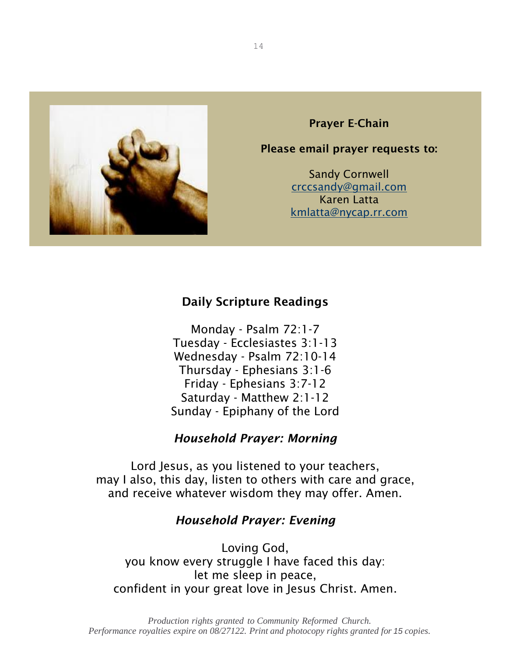

Prayer E-Chain

Please email prayer requests to:

Sandy Cornwell [crccsandy@gmail.com](mailto:crccsandy@gmail.com) Karen Latta [kmlatta@nycap.rr.com](mailto:kmlatta@nycap.rr.com)

# Daily Scripture Readings

Monday - Psalm 72:1-7 Tuesday - Ecclesiastes 3:1-13 Wednesday - Psalm 72:10-14 Thursday - Ephesians 3:1-6 Friday - Ephesians 3:7-12 Saturday - Matthew 2:1-12 Sunday - Epiphany of the Lord

# *Household Prayer: Morning*

Lord Jesus, as you listened to your teachers, may I also, this day, listen to others with care and grace, and receive whatever wisdom they may offer. Amen.

# *Household Prayer: Evening*

Loving God, you know every struggle I have faced this day: let me sleep in peace, confident in your great love in Jesus Christ. Amen.